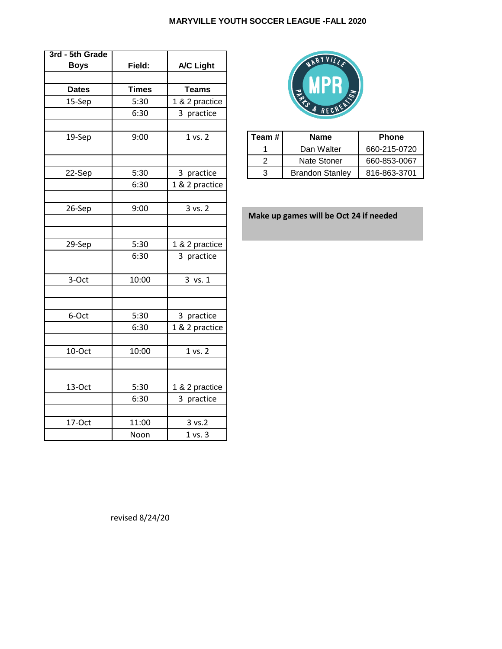| 3rd - 5th Grade<br><b>Boys</b> | Field:       | <b>A/C Light</b> |                | RYVILLA                                |           |
|--------------------------------|--------------|------------------|----------------|----------------------------------------|-----------|
|                                |              |                  |                |                                        |           |
| <b>Dates</b>                   | <b>Times</b> | <b>Teams</b>     |                |                                        |           |
| 15-Sep                         | 5:30         | 1 & 2 practice   |                |                                        |           |
|                                | 6:30         | 3 practice       |                |                                        |           |
| 19-Sep                         | 9:00         | 1 vs. 2          | Team #         | <b>Name</b>                            | Phone     |
|                                |              |                  | 1              | Dan Walter                             | 660-215-0 |
|                                |              |                  | $\overline{c}$ | Nate Stoner                            | 660-853-0 |
| 22-Sep                         | 5:30         | 3 practice       | 3              | <b>Brandon Stanley</b>                 | 816-863-3 |
|                                | 6:30         | 1 & 2 practice   |                |                                        |           |
|                                |              |                  |                |                                        |           |
| 26-Sep                         | 9:00         | 3 vs. 2          |                |                                        |           |
|                                |              |                  |                | Make up games will be Oct 24 if needed |           |
|                                |              |                  |                |                                        |           |
| 29-Sep                         | 5:30         | 1 & 2 practice   |                |                                        |           |
|                                | 6:30         | 3 practice       |                |                                        |           |
|                                |              |                  |                |                                        |           |
| 3-Oct                          | 10:00        | 3 vs. 1          |                |                                        |           |
|                                |              |                  |                |                                        |           |
|                                |              |                  |                |                                        |           |
| 6-Oct                          | 5:30         | 3 practice       |                |                                        |           |
|                                | 6:30         | 1 & 2 practice   |                |                                        |           |
|                                |              |                  |                |                                        |           |
| 10-Oct                         | 10:00        | 1 vs. 2          |                |                                        |           |
|                                |              |                  |                |                                        |           |
|                                |              |                  |                |                                        |           |
| 13-Oct                         | 5:30         | 1 & 2 practice   |                |                                        |           |
|                                | 6:30         | 3 practice       |                |                                        |           |
|                                |              |                  |                |                                        |           |
| 17-Oct                         | 11:00        | 3 vs. 2          |                |                                        |           |
|                                | Noon         | 1 vs. 3          |                |                                        |           |



| 19-Sep | 9:00 | 1 vs. 2  | Team # | <b>Name</b>            | <b>Phone</b> |
|--------|------|----------|--------|------------------------|--------------|
|        |      |          |        | Dan Walter             | 660-215-0720 |
|        |      |          |        | Nate Stoner            | 660-853-0067 |
| 22-Sep | 5:30 | practice |        | <b>Brandon Stanley</b> | 816-863-3701 |
|        |      |          |        |                        |              |

revised 8/24/20